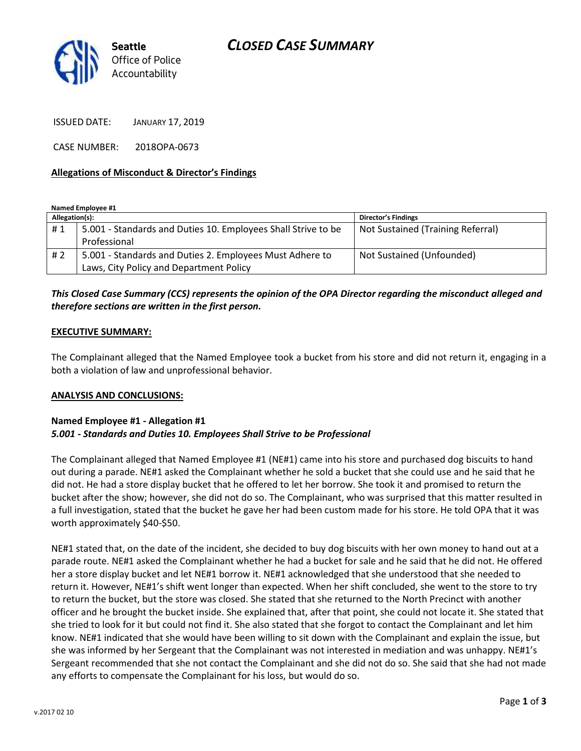# *CLOSED CASE SUMMARY*



ISSUED DATE: JANUARY 17, 2019

CASE NUMBER: 2018OPA-0673

#### **Allegations of Misconduct & Director's Findings**

**Named Employee #1**

| Allegation(s): |                                                               | <b>Director's Findings</b>        |
|----------------|---------------------------------------------------------------|-----------------------------------|
| #1             | 5.001 - Standards and Duties 10. Employees Shall Strive to be | Not Sustained (Training Referral) |
|                | Professional                                                  |                                   |
| #2             | 5.001 - Standards and Duties 2. Employees Must Adhere to      | Not Sustained (Unfounded)         |
|                | Laws, City Policy and Department Policy                       |                                   |

## *This Closed Case Summary (CCS) represents the opinion of the OPA Director regarding the misconduct alleged and therefore sections are written in the first person.*

#### **EXECUTIVE SUMMARY:**

The Complainant alleged that the Named Employee took a bucket from his store and did not return it, engaging in a both a violation of law and unprofessional behavior.

#### **ANALYSIS AND CONCLUSIONS:**

#### **Named Employee #1 - Allegation #1** *5.001 - Standards and Duties 10. Employees Shall Strive to be Professional*

The Complainant alleged that Named Employee #1 (NE#1) came into his store and purchased dog biscuits to hand out during a parade. NE#1 asked the Complainant whether he sold a bucket that she could use and he said that he did not. He had a store display bucket that he offered to let her borrow. She took it and promised to return the bucket after the show; however, she did not do so. The Complainant, who was surprised that this matter resulted in a full investigation, stated that the bucket he gave her had been custom made for his store. He told OPA that it was worth approximately \$40-\$50.

NE#1 stated that, on the date of the incident, she decided to buy dog biscuits with her own money to hand out at a parade route. NE#1 asked the Complainant whether he had a bucket for sale and he said that he did not. He offered her a store display bucket and let NE#1 borrow it. NE#1 acknowledged that she understood that she needed to return it. However, NE#1's shift went longer than expected. When her shift concluded, she went to the store to try to return the bucket, but the store was closed. She stated that she returned to the North Precinct with another officer and he brought the bucket inside. She explained that, after that point, she could not locate it. She stated that she tried to look for it but could not find it. She also stated that she forgot to contact the Complainant and let him know. NE#1 indicated that she would have been willing to sit down with the Complainant and explain the issue, but she was informed by her Sergeant that the Complainant was not interested in mediation and was unhappy. NE#1's Sergeant recommended that she not contact the Complainant and she did not do so. She said that she had not made any efforts to compensate the Complainant for his loss, but would do so.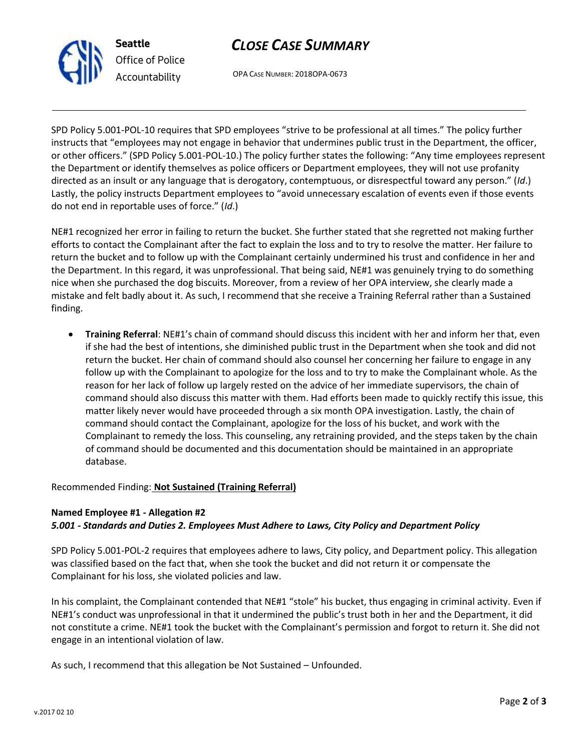

# *CLOSE CASE SUMMARY*

OPA CASE NUMBER: 2018OPA-0673

SPD Policy 5.001-POL-10 requires that SPD employees "strive to be professional at all times." The policy further instructs that "employees may not engage in behavior that undermines public trust in the Department, the officer, or other officers." (SPD Policy 5.001-POL-10.) The policy further states the following: "Any time employees represent the Department or identify themselves as police officers or Department employees, they will not use profanity directed as an insult or any language that is derogatory, contemptuous, or disrespectful toward any person." (*Id*.) Lastly, the policy instructs Department employees to "avoid unnecessary escalation of events even if those events do not end in reportable uses of force." (*Id*.)

NE#1 recognized her error in failing to return the bucket. She further stated that she regretted not making further efforts to contact the Complainant after the fact to explain the loss and to try to resolve the matter. Her failure to return the bucket and to follow up with the Complainant certainly undermined his trust and confidence in her and the Department. In this regard, it was unprofessional. That being said, NE#1 was genuinely trying to do something nice when she purchased the dog biscuits. Moreover, from a review of her OPA interview, she clearly made a mistake and felt badly about it. As such, I recommend that she receive a Training Referral rather than a Sustained finding.

• **Training Referral**: NE#1's chain of command should discuss this incident with her and inform her that, even if she had the best of intentions, she diminished public trust in the Department when she took and did not return the bucket. Her chain of command should also counsel her concerning her failure to engage in any follow up with the Complainant to apologize for the loss and to try to make the Complainant whole. As the reason for her lack of follow up largely rested on the advice of her immediate supervisors, the chain of command should also discuss this matter with them. Had efforts been made to quickly rectify this issue, this matter likely never would have proceeded through a six month OPA investigation. Lastly, the chain of command should contact the Complainant, apologize for the loss of his bucket, and work with the Complainant to remedy the loss. This counseling, any retraining provided, and the steps taken by the chain of command should be documented and this documentation should be maintained in an appropriate database.

Recommended Finding: **Not Sustained (Training Referral)**

## **Named Employee #1 - Allegation #2** *5.001 - Standards and Duties 2. Employees Must Adhere to Laws, City Policy and Department Policy*

SPD Policy 5.001-POL-2 requires that employees adhere to laws, City policy, and Department policy. This allegation was classified based on the fact that, when she took the bucket and did not return it or compensate the Complainant for his loss, she violated policies and law.

In his complaint, the Complainant contended that NE#1 "stole" his bucket, thus engaging in criminal activity. Even if NE#1's conduct was unprofessional in that it undermined the public's trust both in her and the Department, it did not constitute a crime. NE#1 took the bucket with the Complainant's permission and forgot to return it. She did not engage in an intentional violation of law.

As such, I recommend that this allegation be Not Sustained – Unfounded.